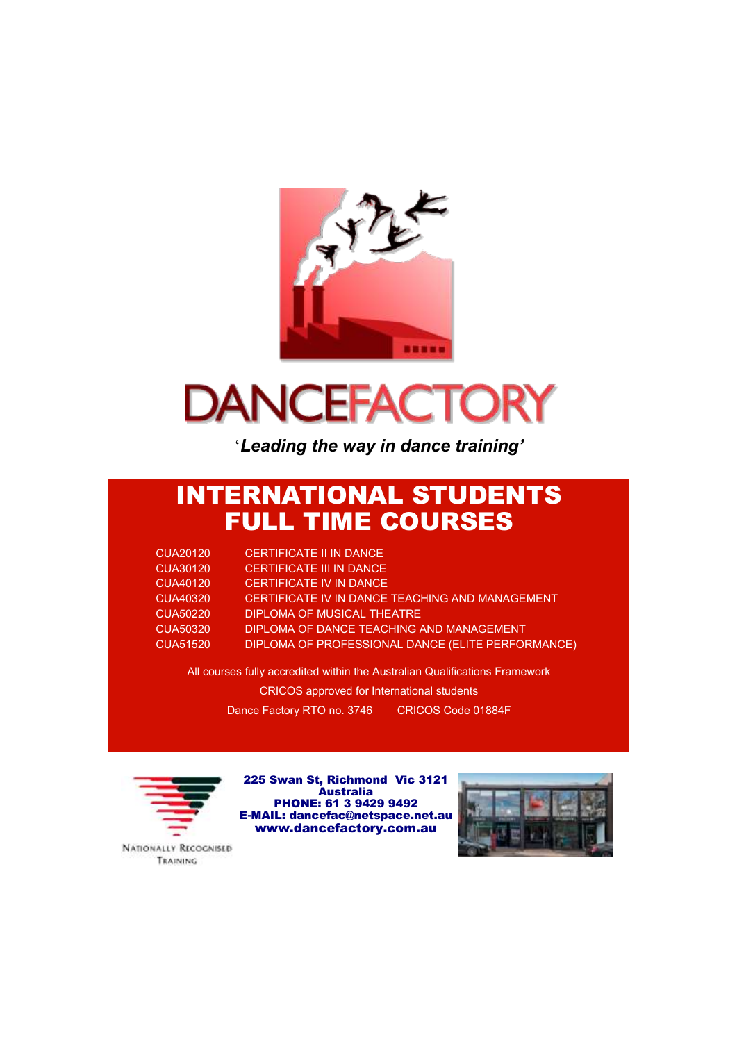

# **DANCEFACTORY**

'*Leading the way in dance training'*

## INTERNATIONAL STUDENTS FULL TIME COURSES

| <b>CUA20120</b> | <b>CERTIFICATE II IN DANCE</b>                    |
|-----------------|---------------------------------------------------|
| <b>CUA30120</b> | CERTIFICATE III IN DANCE                          |
| CUA40120        | <b>CERTIFICATE IV IN DANCE</b>                    |
| CUA40320        | CERTIFICATE IV IN DANCE TEACHING AND MANAGEMENT   |
| CUA50220        | DIPLOMA OF MUSICAL THEATRE                        |
| CUA50320        | DIPLOMA OF DANCE TEACHING AND MANAGEMENT          |
| <b>CUA51520</b> | DIPLOMA OF PROFESSIONAL DANCE (ELITE PERFORMANCE) |

All courses fully accredited within the Australian Qualifications Framework CRICOS approved for International students Dance Factory RTO no. 3746 CRICOS Code 01884F



225 Swan St, Richmond Vic 3121 Australia PHONE: 61 3 9429 9492 E-MAIL: dancefac@netspace.net.au www.dancefactory.com.au



**NATIONALLY RECOGNISED** TRAINING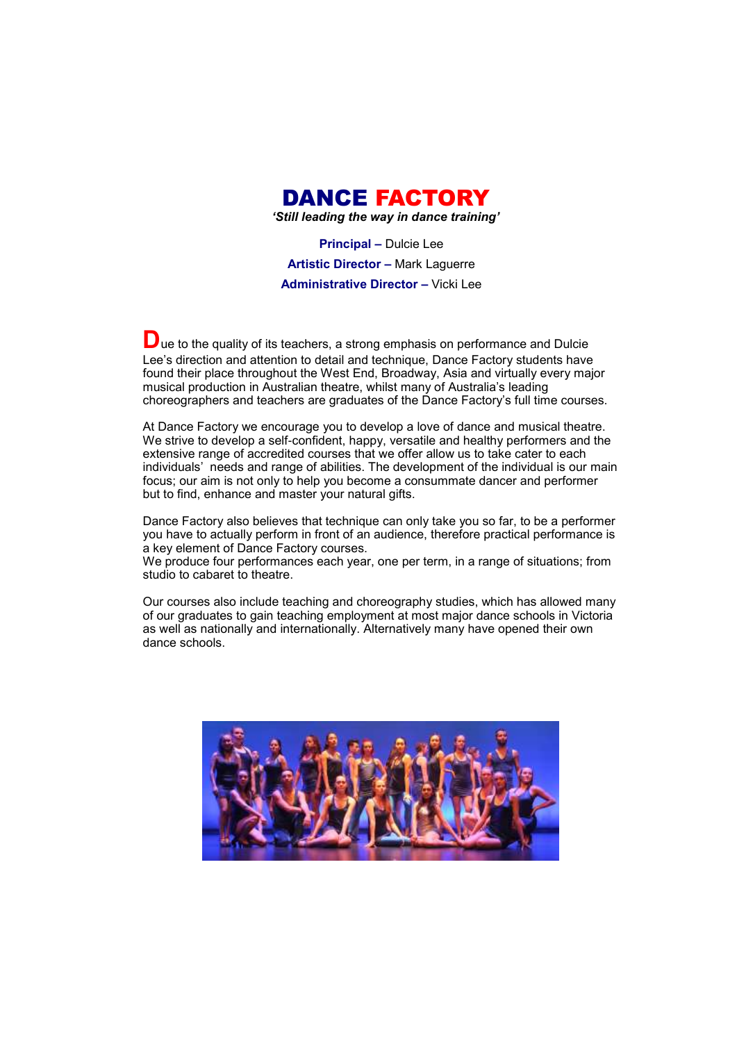

*'Still leading the way in dance training'*

**Principal –** Dulcie Lee **Artistic Director –** Mark Laguerre **Administrative Director –** Vicki Lee

**D**ue to the quality of its teachers, a strong emphasis on performance and Dulcie Lee's direction and attention to detail and technique, Dance Factory students have found their place throughout the West End, Broadway, Asia and virtually every major musical production in Australian theatre, whilst many of Australia's leading choreographers and teachers are graduates of the Dance Factory's full time courses.

At Dance Factory we encourage you to develop a love of dance and musical theatre. We strive to develop a self-confident, happy, versatile and healthy performers and the extensive range of accredited courses that we offer allow us to take cater to each individuals' needs and range of abilities. The development of the individual is our main focus; our aim is not only to help you become a consummate dancer and performer but to find, enhance and master your natural gifts.

Dance Factory also believes that technique can only take you so far, to be a performer you have to actually perform in front of an audience, therefore practical performance is a key element of Dance Factory courses.

We produce four performances each year, one per term, in a range of situations; from studio to cabaret to theatre.

Our courses also include teaching and choreography studies, which has allowed many of our graduates to gain teaching employment at most major dance schools in Victoria as well as nationally and internationally. Alternatively many have opened their own dance schools.

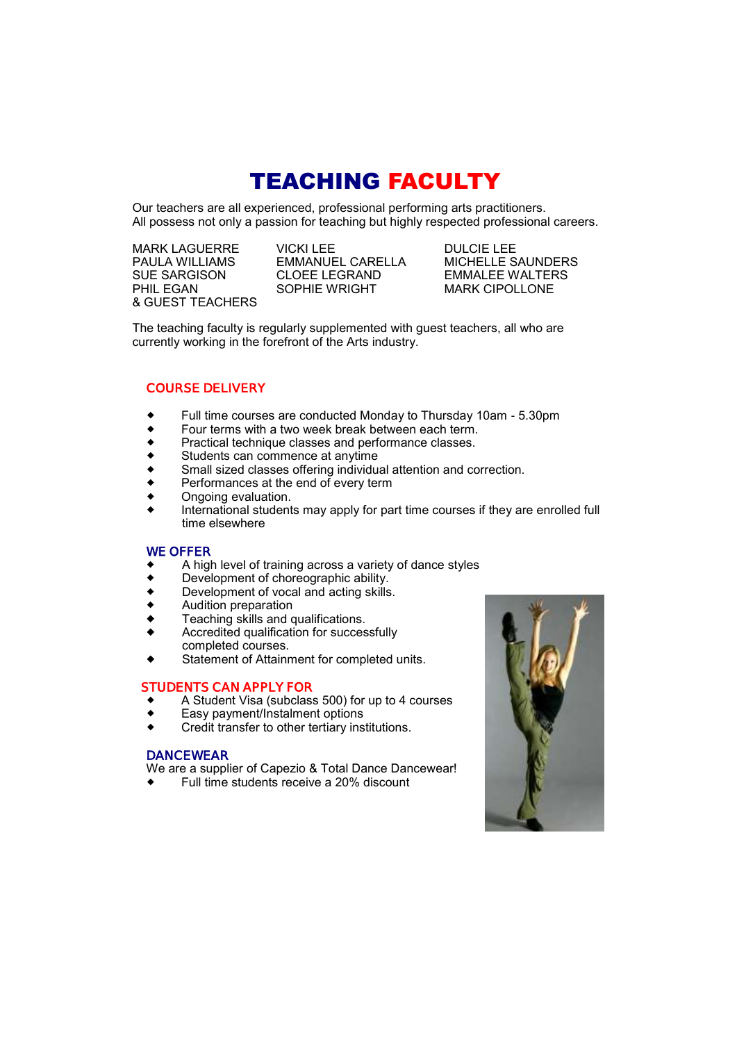## TEACHING FACULTY

Our teachers are all experienced, professional performing arts practitioners. All possess not only a passion for teaching but highly respected professional careers.

& GUEST TEACHERS

**EMMANUEL CARELLA** SUE SARGISON CLOEE LEGRAND EMMALEE WALTERS<br>PHIL EGAN SOPHIE WRIGHT MARK CIPOLLONE

MARK LAGUERRE VICKI LEE DULCIE LEE **MARK CIPOLLONE** 

The teaching faculty is regularly supplemented with guest teachers, all who are currently working in the forefront of the Arts industry.

### **COURSE DELIVERY**

- Full time courses are conducted Monday to Thursday 10am 5.30pm
- $\bullet$  Four terms with a two week break between each term.
- ◆ Practical technique classes and performance classes.<br>◆ Students can commence at anytime
- Students can commence at anytime
- Small sized classes offering individual attention and correction.
- Performances at the end of every term
- Ongoing evaluation.
- International students may apply for part time courses if they are enrolled full time elsewhere

#### **WE OFFER**

- A high level of training across a variety of dance styles
- ◆ Development of choreographic ability.<br>◆ Development of yocal and acting skills
- Development of vocal and acting skills.
- Audition preparation
- Teaching skills and qualifications.
- Accredited qualification for successfully completed courses.
- Statement of Attainment for completed units.

#### **STUDENTS CAN APPLY FOR**

- A Student Visa (subclass 500) for up to 4 courses
- Easy payment/lnstalment options
- Credit transfer to other tertiary institutions.

#### **DANCEWEAR**

We are a supplier of Capezio & Total Dance Dancewear!

Full time students receive a 20% discount

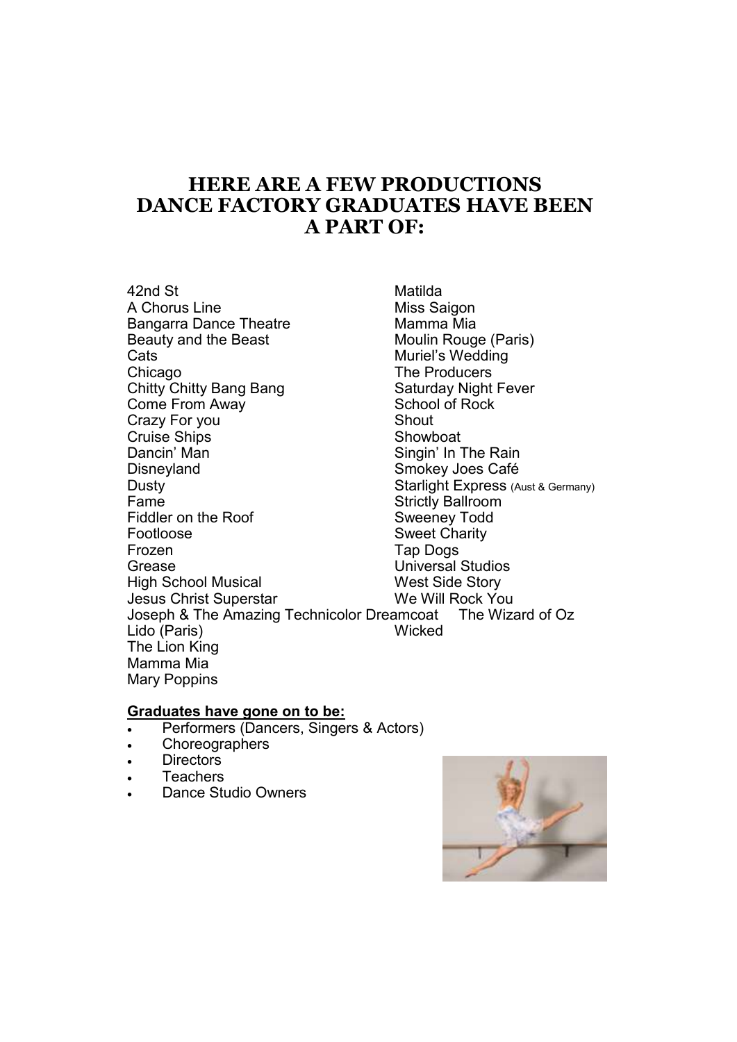## **HERE ARE A FEW PRODUCTIONS DANCE FACTORY GRADUATES HAVE BEEN A PART OF:**

42nd St Matilda A Chorus Line<br>Bangarra Dance Theatre Mamma Mia Bangarra Dance Theatre Beauty and the Beast Moulin Rouge (Paris) Cats **Cats Cats Cats Cats Cats Cats Cats Cats Cats Cats Cats Cats Cats Cats C** Chicago<br>
Chitty Chitty Bang Bang<br>
Chitty Chitty Bang Bang<br>
Chitty Chitty Bang Bang Chitty Chitty Bang Bang Saturday Night<br>
Come From Away School of Rock Come From Away Crazy For you shout Cruise Ships **Showboat** Dancin' Man Singin' In The Rain Smokey Joes Café Dusty **Dusty Starlight Express** (Aust & Germany) Fame **Fame**<br>Fiddler on the Roof **Exercise Strictly Ballroom** Fiddler on the Roof Footloose Sweet Charity Frozen **Tap Dogs** Grease Universal Studios High School Musical West Side Story Jesus Christ Superstar We Will Rock You Joseph & The Amazing Technicolor Dreamcoat The Wizard of Oz Lido (Paris) Wicked The Lion King Mamma Mia Mary Poppins

### **Graduates have gone on to be:**

- Performers (Dancers, Singers & Actors)
- Choreographers
- . Directors
- **Teachers**
- Dance Studio Owners

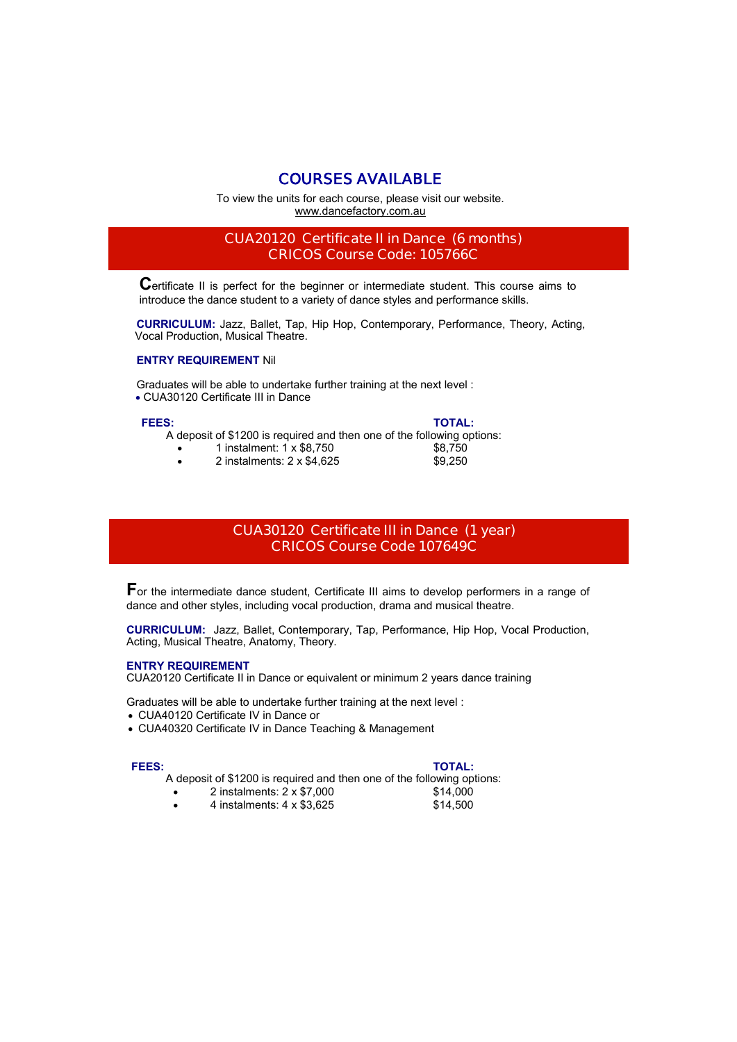### **COURSES AVAILABLE**

To view the units for each course, please visit our website. www.dancefactory.com.au

### **CUA20120 Certificate II in Dance (6 months) CRICOS Course Code: 105766C**

**C**ertificate II is perfect for the beginner or intermediate student. This course aims to introduce the dance student to a variety of dance styles and performance skills.

 **CURRICULUM:** Jazz, Ballet, Tap, Hip Hop, Contemporary, Performance, Theory, Acting, Vocal Production, Musical Theatre.

#### **ENTRY REQUIREMENT** Nil

 Graduates will be able to undertake further training at the next level : CUA30120 Certificate III in Dance

#### **FEES: TOTAL:**

A deposit of \$1200 is required and then one of the following options:

- 1 instalment: 1 x \$8,750 \$8,750
- 2 instalments: 2 x \$4,625 \$9,250

### **CUA30120 Certificate III in Dance (1 year) CRICOS Course Code 107649C**

**F**or the intermediate dance student, Certificate III aims to develop performers in a range of dance and other styles, including vocal production, drama and musical theatre.

**CURRICULUM:** Jazz, Ballet, Contemporary, Tap, Performance, Hip Hop, Vocal Production, Acting, Musical Theatre, Anatomy, Theory.

#### **ENTRY REQUIREMENT**

CUA20120 Certificate II in Dance or equivalent or minimum 2 years dance training

Graduates will be able to undertake further training at the next level :

- CUA40120 Certificate IV in Dance or
- CUA40320 Certificate IV in Dance Teaching & Management

- **FEES: TOTAL:** A deposit of \$1200 is required and then one of the following options:
	- 2 instalments: 2 x \$7,000 \$14,000
	- 4 instalments: 4 x \$3,625 \$14,500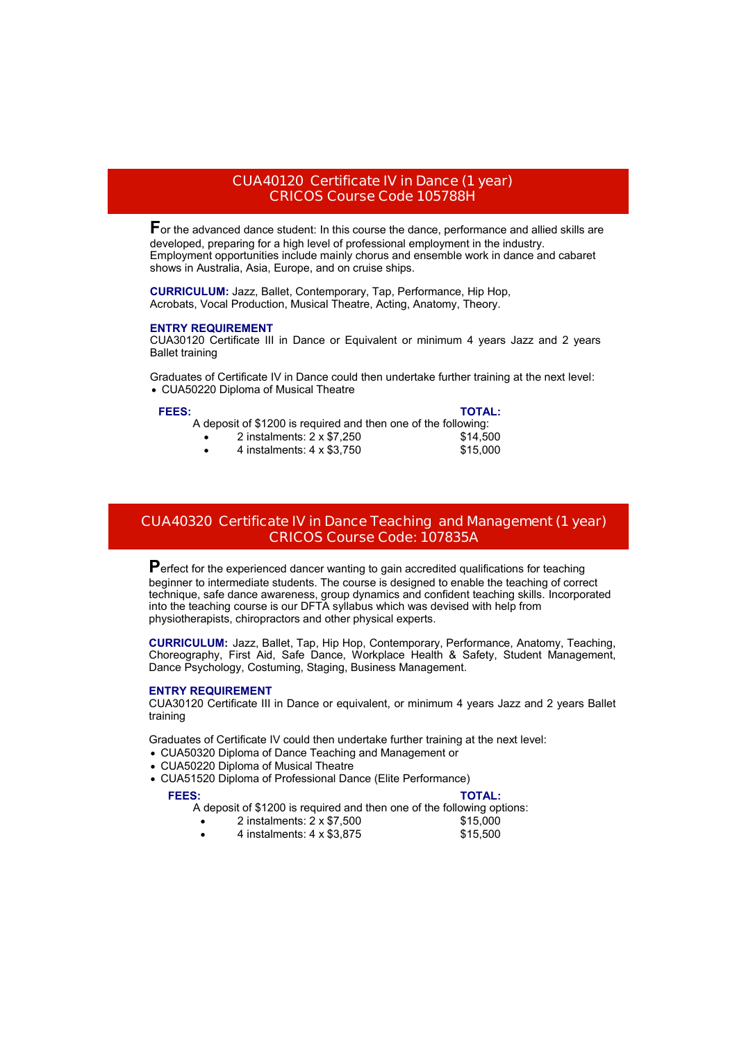#### **CUA40120 Certificate IV in Dance (1 year) CRICOS Course Code 105788H**

**F**or the advanced dance student: In this course the dance, performance and allied skills are developed, preparing for a high level of professional employment in the industry. Employment opportunities include mainly chorus and ensemble work in dance and cabaret shows in Australia, Asia, Europe, and on cruise ships.

**CURRICULUM:** Jazz, Ballet, Contemporary, Tap, Performance, Hip Hop, Acrobats, Vocal Production, Musical Theatre, Acting, Anatomy, Theory.

#### **ENTRY REQUIREMENT**

CUA30120 Certificate III in Dance or Equivalent or minimum 4 years Jazz and 2 years Ballet training

Graduates of Certificate IV in Dance could then undertake further training at the next level: CUA50220 Diploma of Musical Theatre

#### **FEES: TOTAL:**

A deposit of \$1200 is required and then one of the following:

- 2 instalments: 2 x \$7,250 \$14,500
- 

4 instalments: 4 x \$3,750 \$15,000

### **CUA40320 Certificate IV in Dance Teaching and Management (1 year) CRICOS Course Code: 107835A**

Perfect for the experienced dancer wanting to gain accredited qualifications for teaching beginner to intermediate students. The course is designed to enable the teaching of correct technique, safe dance awareness, group dynamics and confident teaching skills. Incorporated into the teaching course is our DFTA syllabus which was devised with help from physiotherapists, chiropractors and other physical experts.

**CURRICULUM:** Jazz, Ballet, Tap, Hip Hop, Contemporary, Performance, Anatomy, Teaching, Choreography, First Aid, Safe Dance, Workplace Health & Safety, Student Management, Dance Psychology, Costuming, Staging, Business Management.

#### **ENTRY REQUIREMENT**

CUA30120 Certificate III in Dance or equivalent, or minimum 4 years Jazz and 2 years Ballet training

Graduates of Certificate IV could then undertake further training at the next level:

- CUA50320 Diploma of Dance Teaching and Management or
- CUA50220 Diploma of Musical Theatre
- CUA51520 Diploma of Professional Dance (Elite Performance)

#### **FEES: TOTAL:**

A deposit of \$1200 is required and then one of the following options:

- 2 instalments: 2 x \$7,500<br>4 instalments: 4 x \$3,875 \$15,500
- 4 instalments:  $4 \times $3,875$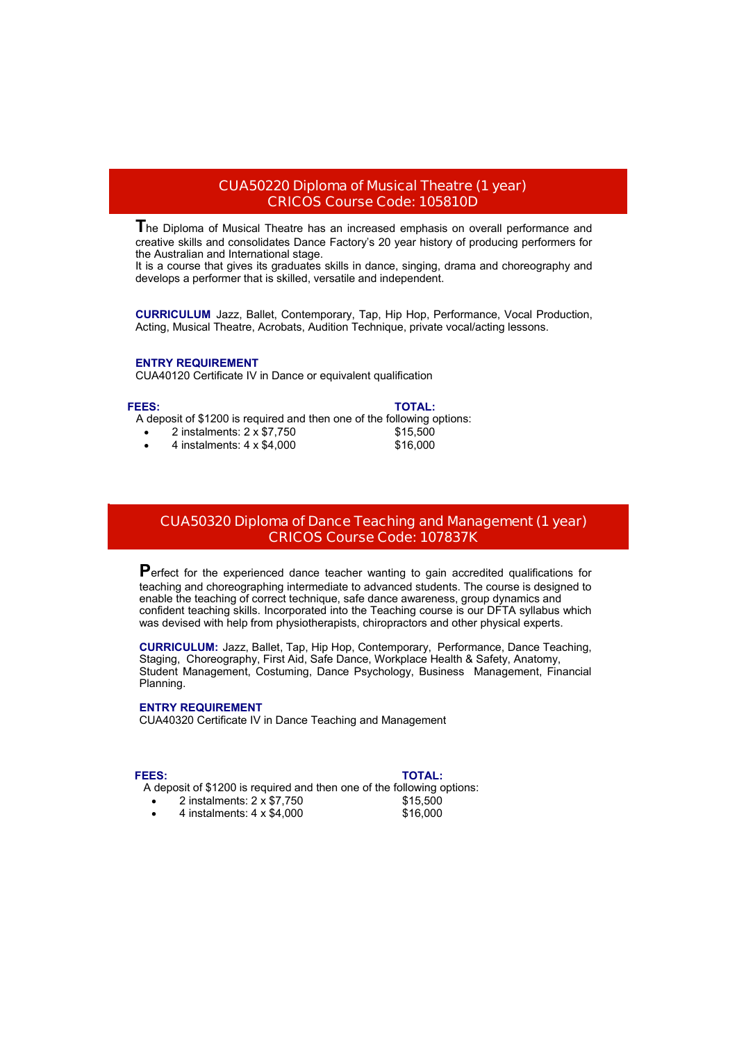#### **CUA50220 Diploma of Musical Theatre (1 year) CRICOS Course Code: 105810D**

**T**he Diploma of Musical Theatre has an increased emphasis on overall performance and creative skills and consolidates Dance Factory's 20 year history of producing performers for the Australian and International stage.

It is a course that gives its graduates skills in dance, singing, drama and choreography and develops a performer that is skilled, versatile and independent.

**CURRICULUM** Jazz, Ballet, Contemporary, Tap, Hip Hop, Performance, Vocal Production, Acting, Musical Theatre, Acrobats, Audition Technique, private vocal/acting lessons.

#### **ENTRY REQUIREMENT**

CUA40120 Certificate IV in Dance or equivalent qualification

#### **FEES: TOTAL:**

A deposit of \$1200 is required and then one of the following options:<br>  $\bullet$  2 instalments: 2 x \$7,750 \$15,500

- $\bullet$  2 instalments: 2 x \$7,750
- 4 instalments: 4 x \$4,000 \$16,000

### **CUA50320 Diploma of Dance Teaching and Management (1 year) CRICOS Course Code: 107837K**

Perfect for the experienced dance teacher wanting to gain accredited qualifications for teaching and choreographing intermediate to advanced students. The course is designed to enable the teaching of correct technique, safe dance awareness, group dynamics and confident teaching skills. Incorporated into the Teaching course is our DFTA syllabus which was devised with help from physiotherapists, chiropractors and other physical experts.

**CURRICULUM:** Jazz, Ballet, Tap, Hip Hop, Contemporary, Performance, Dance Teaching, Staging, Choreography, First Aid, Safe Dance, Workplace Health & Safety, Anatomy, Student Management, Costuming, Dance Psychology, Business Management, Financial Planning.

#### **ENTRY REQUIREMENT**

CUA40320 Certificate IV in Dance Teaching and Management

#### **FEES: TOTAL:**

A deposit of \$1200 is required and then one of the following options:

- 2 instalments: 2 x \$7,750 \$15,500
- 4 instalments: 4 x \$4,000 \$16,000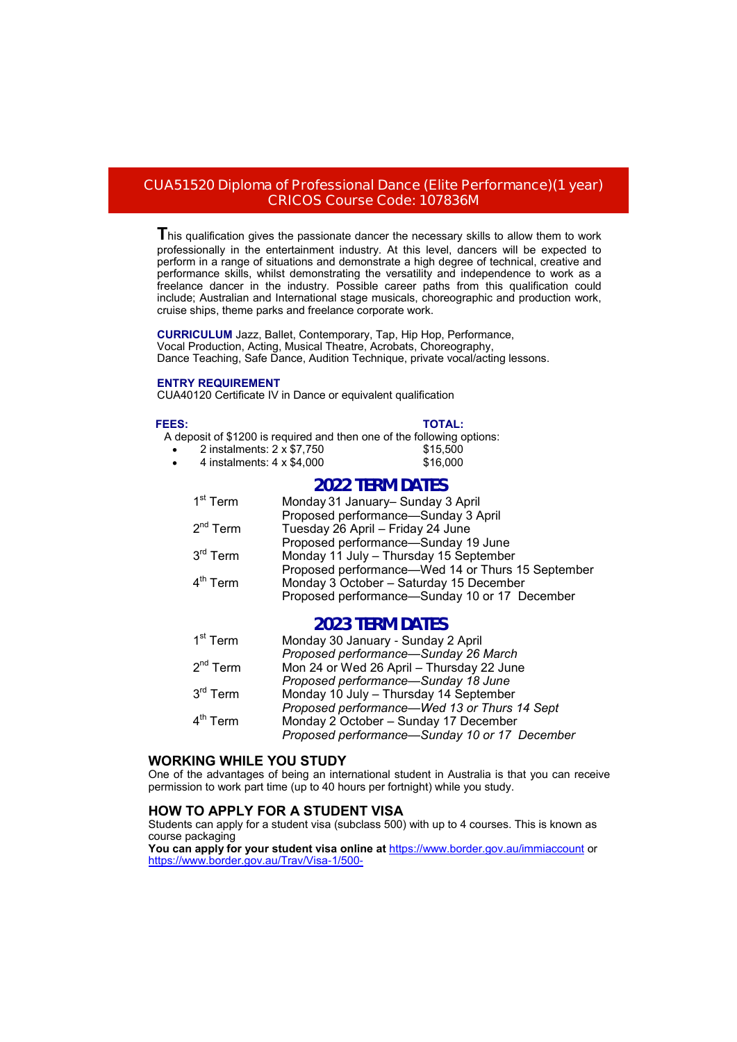#### **CUA51520 Diploma of Professional Dance (Elite Performance)(1 year) CRICOS Course Code: 107836M**

**T**his qualification gives the passionate dancer the necessary skills to allow them to work professionally in the entertainment industry. At this level, dancers will be expected to perform in a range of situations and demonstrate a high degree of technical, creative and performance skills, whilst demonstrating the versatility and independence to work as a freelance dancer in the industry. Possible career paths from this qualification could include; Australian and International stage musicals, choreographic and production work, cruise ships, theme parks and freelance corporate work.

**CURRICULUM** Jazz, Ballet, Contemporary, Tap, Hip Hop, Performance, Vocal Production, Acting, Musical Theatre, Acrobats, Choreography, Dance Teaching, Safe Dance, Audition Technique, private vocal/acting lessons.

#### **ENTRY REQUIREMENT**

CUA40120 Certificate IV in Dance or equivalent qualification

#### **FEES: TOTAL:**

A deposit of \$1200 is required and then one of the following options:

- $2$  instalments:  $2 \times $7,750$   $$15,500$
- 4 instalments: 4 x \$4,000 \$16,000

### **2022 TERM DATES**

| 1 <sup>st</sup> Term | Monday 31 January- Sunday 3 April                 |
|----------------------|---------------------------------------------------|
|                      | Proposed performance-Sunday 3 April               |
| $2nd$ Term           | Tuesday 26 April - Friday 24 June                 |
|                      | Proposed performance-Sunday 19 June               |
| $3^{\text{rd}}$ Term | Monday 11 July - Thursday 15 September            |
|                      | Proposed performance—Wed 14 or Thurs 15 September |
| $4th$ Term           | Monday 3 October - Saturday 15 December           |
|                      | Proposed performance-Sunday 10 or 17 December     |
|                      |                                                   |

### **2023 TERM DATES**

| $1^\text{st}$ Term   | Monday 30 January - Sunday 2 April            |
|----------------------|-----------------------------------------------|
|                      | Proposed performance-Sunday 26 March          |
| 2 <sup>nd</sup> Term | Mon 24 or Wed 26 April - Thursday 22 June     |
|                      | Proposed performance-Sunday 18 June           |
| $3^{\text{rd}}$ Term | Monday 10 July - Thursday 14 September        |
|                      | Proposed performance—Wed 13 or Thurs 14 Sept  |
| $4th$ Term           | Monday 2 October - Sunday 17 December         |
|                      | Proposed performance-Sunday 10 or 17 December |

#### **WORKING WHILE YOU STUDY**

One of the advantages of being an international student in Australia is that you can receive permission to work part time (up to 40 hours per fortnight) while you study.

#### **HOW TO APPLY FOR A STUDENT VISA**

Students can apply for a student visa (subclass 500) with up to 4 courses. This is known as course packaging

**You can apply for your student visa online at** <https://www.border.gov.au/immiaccount> or <https://www.border.gov.au/Trav/Visa-1/500->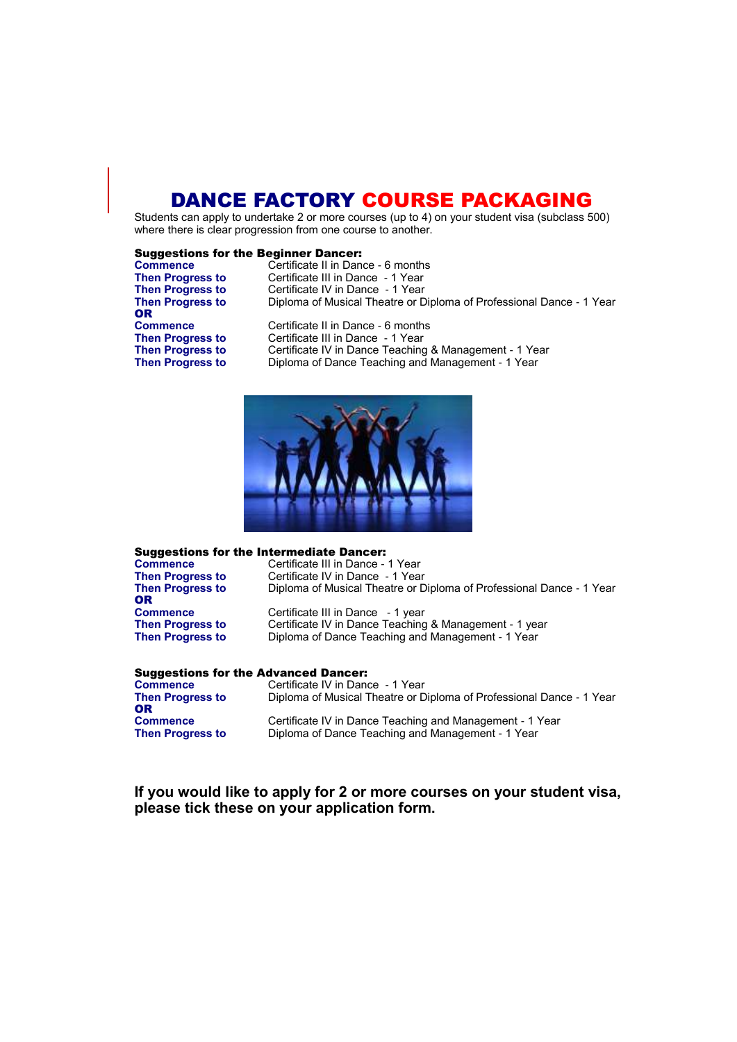## DANCE FACTORY COURSE PACKAGING

Students can apply to undertake 2 or more courses (up to 4) on your student visa (subclass 500) where there is clear progression from one course to another.

#### Suggestions for the Beginner Dancer:

| <b>Commence</b>         | Certificate II in Dance - 6 months                                   |
|-------------------------|----------------------------------------------------------------------|
| <b>Then Progress to</b> | Certificate III in Dance - 1 Year                                    |
| <b>Then Progress to</b> | Certificate IV in Dance - 1 Year                                     |
| <b>Then Progress to</b> | Diploma of Musical Theatre or Diploma of Professional Dance - 1 Year |
| <b>OR</b>               |                                                                      |
| <b>Commence</b>         | Certificate II in Dance - 6 months                                   |
| <b>Then Progress to</b> | Certificate III in Dance - 1 Year                                    |
| <b>Then Progress to</b> | Certificate IV in Dance Teaching & Management - 1 Year               |
| <b>Then Progress to</b> | Diploma of Dance Teaching and Management - 1 Year                    |
|                         |                                                                      |



| <b>Suggestions for the Intermediate Dancer:</b> |                                                                      |  |
|-------------------------------------------------|----------------------------------------------------------------------|--|
| <b>Commence</b>                                 | Certificate III in Dance - 1 Year                                    |  |
| <b>Then Progress to</b>                         | Certificate IV in Dance - 1 Year                                     |  |
| <b>Then Progress to</b><br><b>OR</b>            | Diploma of Musical Theatre or Diploma of Professional Dance - 1 Year |  |
| <b>Commence</b>                                 | Certificate III in Dance - 1 year                                    |  |
| <b>Then Progress to</b>                         | Certificate IV in Dance Teaching & Management - 1 year               |  |
| <b>Then Progress to</b>                         | Diploma of Dance Teaching and Management - 1 Year                    |  |

#### Suggestions for the Advanced Dancer:

| <b>Commence</b>         | Certificate IV in Dance - 1 Year                                     |
|-------------------------|----------------------------------------------------------------------|
| <b>Then Progress to</b> | Diploma of Musical Theatre or Diploma of Professional Dance - 1 Year |
| 0R                      |                                                                      |
| <b>Commence</b>         | Certificate IV in Dance Teaching and Management - 1 Year             |
| <b>Then Progress to</b> | Diploma of Dance Teaching and Management - 1 Year                    |

#### **If you would like to apply for 2 or more courses on your student visa, please tick these on your application form.**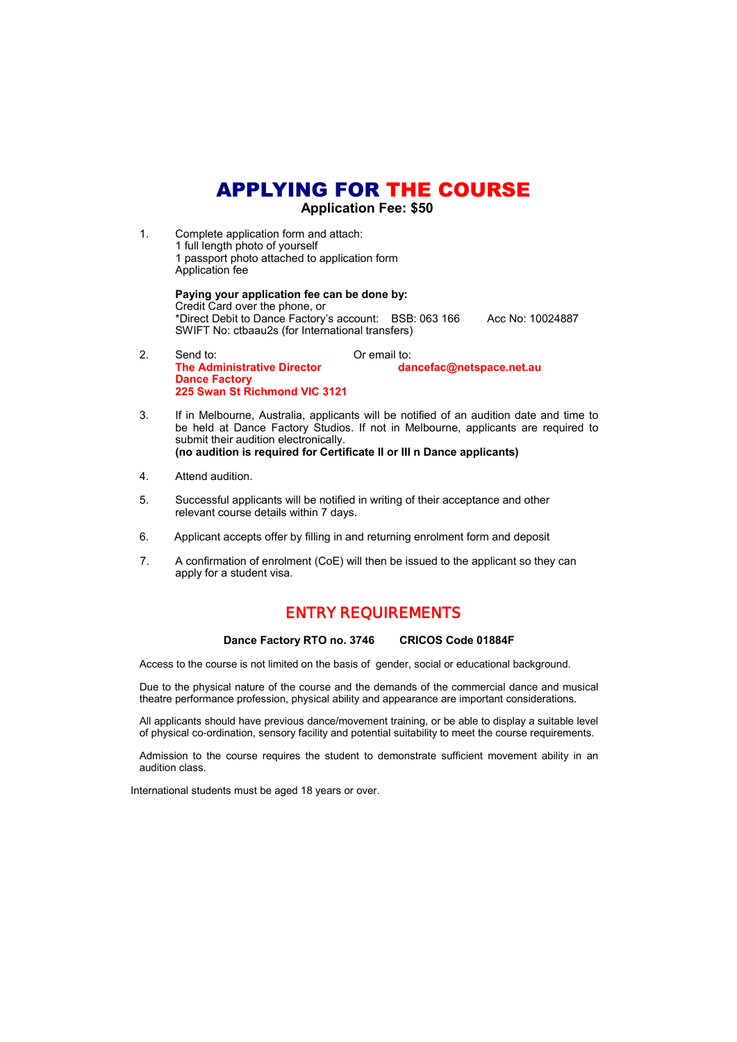## APPLYING FOR THE COURSE

 **Application Fee: \$50** 

1. Complete application form and attach: 1 full length photo of yourself 1 passport photo attached to application form Application fee

> **Paying your application fee can be done by:** Credit Card over the phone, or \*Direct Debit to Dance Factory's account: BSB: 063 166 Acc No: 10024887 SWIFT No: ctbaau2s (for International transfers)

- 2. Send to: Casa Coremail to: Coremail to: Coremail to: Coremail to: Coremail to: Coremail to: Coremail to: Co **The Administrative Director dancefac@netspace.net.au Dance Factory 225 Swan St Richmond VIC 3121**
- 3. If in Melbourne, Australia, applicants will be notified of an audition date and time to be held at Dance Factory Studios. If not in Melbourne, applicants are required to submit their audition electronically. **(no audition is required for Certificate II or III n Dance applicants)**
- 4. Attend audition.
- 5. Successful applicants will be notified in writing of their acceptance and other relevant course details within 7 days.
- 6. Applicant accepts offer by filling in and returning enrolment form and deposit
- 7. A confirmation of enrolment (CoE) will then be issued to the applicant so they can apply for a student visa.

### **ENTRY REQUIREMENTS**

#### **Dance Factory RTO no. 3746 CRICOS Code 01884F**

Access to the course is not limited on the basis of gender, social or educational background.

Due to the physical nature of the course and the demands of the commercial dance and musical theatre performance profession, physical ability and appearance are important considerations.

All applicants should have previous dance/movement training, or be able to display a suitable level of physical co-ordination, sensory facility and potential suitability to meet the course requirements.

Admission to the course requires the student to demonstrate sufficient movement ability in an audition class.

International students must be aged 18 years or over.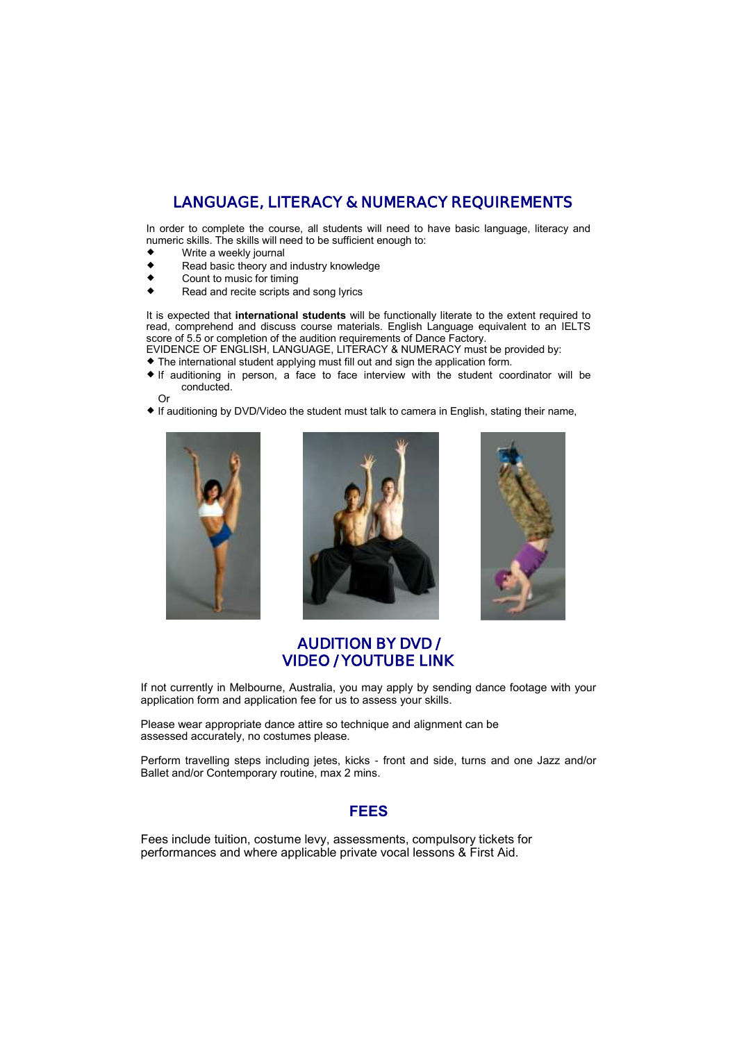## **LANGUAGE, LITERACY & NUMERACY REQUIREMENTS**

In order to complete the course, all students will need to have basic language, literacy and numeric skills. The skills will need to be sufficient enough to:

- $\begin{array}{cc}\n\bullet & \text{Write a weekly journal} \\
\bullet & \text{Read basic theory and} \\
\end{array}$
- ◆ Read basic theory and industry knowledge<br>◆ Count to music for timing
- Count to music for timing
- ◆ Read and recite scripts and song lyrics

It is expected that **international students** will be functionally literate to the extent required to read, comprehend and discuss course materials. English Language equivalent to an IELTS score of 5.5 or completion of the audition requirements of Dance Factory.

EVIDENCE OF ENGLISH, LANGUAGE, LITERACY & NUMERACY must be provided by: The international student applying must fill out and sign the application form.

- $\bullet$  If auditioning in person, a face to face interview with the student coordinator will be conducted.
- Or If auditioning by DVD/Video the student must talk to camera in English, stating their name,







### **AUDITION BY DVD / VIDEO / YOUTUBE LINK**

If not currently in Melbourne, Australia, you may apply by sending dance footage with your application form and application fee for us to assess your skills.

Please wear appropriate dance attire so technique and alignment can be assessed accurately, no costumes please.

Perform travelling steps including jetes, kicks - front and side, turns and one Jazz and/or Ballet and/or Contemporary routine, max 2 mins.

#### **FEES**

Fees include tuition, costume levy, assessments, compulsory tickets for performances and where applicable private vocal lessons & First Aid.